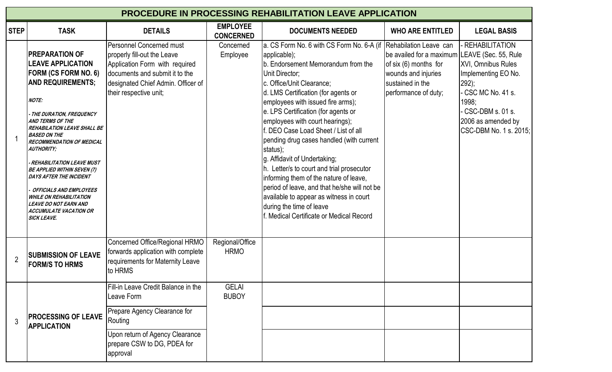| <b>PROCEDURE IN PROCESSING REHABILITATION LEAVE APPLICATION</b> |                                                                                                                                                                                                                                                                                                                                                                                                                                                                                                                                                                              |                                                                                                                                                                                                    |                                     |                                                                                                                                                                                                                                                                                                                                                                                                                                                                                                                                                                                                                                                                                                                       |                                                                                                                                             |                                                                                                                                                                                          |  |  |  |
|-----------------------------------------------------------------|------------------------------------------------------------------------------------------------------------------------------------------------------------------------------------------------------------------------------------------------------------------------------------------------------------------------------------------------------------------------------------------------------------------------------------------------------------------------------------------------------------------------------------------------------------------------------|----------------------------------------------------------------------------------------------------------------------------------------------------------------------------------------------------|-------------------------------------|-----------------------------------------------------------------------------------------------------------------------------------------------------------------------------------------------------------------------------------------------------------------------------------------------------------------------------------------------------------------------------------------------------------------------------------------------------------------------------------------------------------------------------------------------------------------------------------------------------------------------------------------------------------------------------------------------------------------------|---------------------------------------------------------------------------------------------------------------------------------------------|------------------------------------------------------------------------------------------------------------------------------------------------------------------------------------------|--|--|--|
| <b>STEP</b>                                                     | <b>TASK</b>                                                                                                                                                                                                                                                                                                                                                                                                                                                                                                                                                                  | <b>DETAILS</b>                                                                                                                                                                                     | <b>EMPLOYEE</b><br><b>CONCERNED</b> | <b>DOCUMENTS NEEDED</b>                                                                                                                                                                                                                                                                                                                                                                                                                                                                                                                                                                                                                                                                                               | <b>WHO ARE ENTITLED</b>                                                                                                                     | <b>LEGAL BASIS</b>                                                                                                                                                                       |  |  |  |
|                                                                 | <b>PREPARATION OF</b><br><b>LEAVE APPLICATION</b><br><b>FORM (CS FORM NO. 6)</b><br><b>AND REQUIREMENTS;</b><br><b>NOTE:</b><br>- THE DURATION, FREQUENCY<br><b>AND TERMS OF THE</b><br><b>REHABILATION LEAVE SHALL BE</b><br><b>BASED ON THE</b><br><b>RECOMMENDATION OF MEDICAL</b><br><b>AUTHORITY;</b><br>- REHABILITATION LEAVE MUST<br><b>BE APPLIED WITHIN SEVEN (7)</b><br><b>DAYS AFTER THE INCIDENT</b><br><b>OFFICIALS AND EMPLOYEES</b><br><b>WHILE ON REHABILITATION</b><br><b>LEAVE DO NOT EARN AND</b><br><b>ACCUMULATE VACATION OR</b><br><b>SICK LEAVE.</b> | <b>Personnel Concerned must</b><br>properly fill-out the Leave<br>Application Form with required<br>documents and submit it to the<br>designated Chief Admin. Officer of<br>their respective unit; | Concerned<br>Employee               | a. CS Form No. 6 with CS Form No. 6-A (if Rehabilation Leave can<br>applicable);<br>b. Endorsement Memorandum from the<br>Unit Director;<br>c. Office/Unit Clearance;<br>d. LMS Certification (for agents or<br>employees with issued fire arms);<br>e. LPS Certification (for agents or<br>employees with court hearings);<br>f. DEO Case Load Sheet / List of all<br>pending drug cases handled (with current<br>status);<br>g. Affidavit of Undertaking;<br>h. Letter/s to court and trial prosecutor<br>informing them of the nature of leave,<br>period of leave, and that he/she will not be<br>available to appear as witness in court<br>during the time of leave<br>f. Medical Certificate or Medical Record | be availed for a maximum LEAVE (Sec. 55, Rule<br>of six $(6)$ months for<br>wounds and injuries<br>sustained in the<br>performance of duty; | - REHABILITATION<br><b>XVI, Omnibus Rules</b><br>Implementing EO No.<br>$ 292\rangle$ ;<br>CSC MC No. 41 s.<br>1998;<br>CSC-DBM s. 01 s.<br>2006 as amended by<br>CSC-DBM No. 1 s. 2015; |  |  |  |
| $\overline{2}$                                                  | <b>SUBMISSION OF LEAVE</b><br><b>FORM/S TO HRMS</b>                                                                                                                                                                                                                                                                                                                                                                                                                                                                                                                          | Concerned Office/Regional HRMO<br>forwards application with complete<br>requirements for Maternity Leave<br>to HRMS                                                                                | Regional/Office<br><b>HRMO</b>      |                                                                                                                                                                                                                                                                                                                                                                                                                                                                                                                                                                                                                                                                                                                       |                                                                                                                                             |                                                                                                                                                                                          |  |  |  |
| 3                                                               | <b>PROCESSING OF LEAVE</b><br><b>APPLICATION</b>                                                                                                                                                                                                                                                                                                                                                                                                                                                                                                                             | Fill-in Leave Credit Balance in the<br>Leave Form<br>Prepare Agency Clearance for<br>Routing<br>Upon return of Agency Clearance<br>prepare CSW to DG, PDEA for<br>approval                         | <b>GELAI</b><br><b>BUBOY</b>        |                                                                                                                                                                                                                                                                                                                                                                                                                                                                                                                                                                                                                                                                                                                       |                                                                                                                                             |                                                                                                                                                                                          |  |  |  |